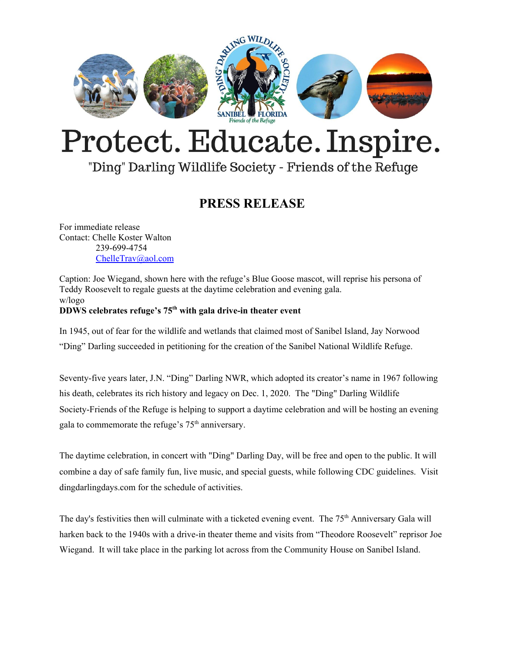

## Protect. Educate. Inspire.

## "Ding" Darling Wildlife Society - Friends of the Refuge

## **PRESS RELEASE**

For immediate release Contact: Chelle Koster Walton 239-699-4754 [ChelleTrav@aol.com](mailto:ChelleTrav@aol.com)

Caption: Joe Wiegand, shown here with the refuge's Blue Goose mascot, will reprise his persona of Teddy Roosevelt to regale guests at the daytime celebration and evening gala. w/logo **DDWS celebrates refuge's 75 th with gala drive-in theater event**

In 1945, out of fear for the wildlife and wetlands that claimed most of Sanibel Island, Jay [Norwood](https://www.dingdarlingsociety.org/articles/our-namesake) "Ding" [Darling](https://www.dingdarlingsociety.org/articles/our-namesake) succeeded in petitioning for the creation of the Sanibel National Wildlife Refuge.

Seventy-five years later, J.N. "Ding" Darling NWR, which adopted its creator's name in 1967 following his death, celebrates its rich history and legacy on Dec. 1, 2020. The "Ding" Darling Wildlife Society-Friends of the Refuge is helping to support a daytime celebration and will be hosting an evening gala to commemorate the refuge's  $75<sup>th</sup>$  anniversary.

The daytime celebration, in concert with "Ding" Darling Day, will be free and open to the public. It will combine a day of safe family fun, live music, and special guests, while following CDC guidelines. Visit dingdarlingdays.com for the schedule of activities.

The day's festivities then will culminate with a ticketed evening event. The 75<sup>th</sup> Anniversary Gala will harken back to the 1940s with a drive-in theater theme and visits from "Theodore Roosevelt" reprisor Joe Wiegand. It will take place in the parking lot across from the Community House on Sanibel Island.